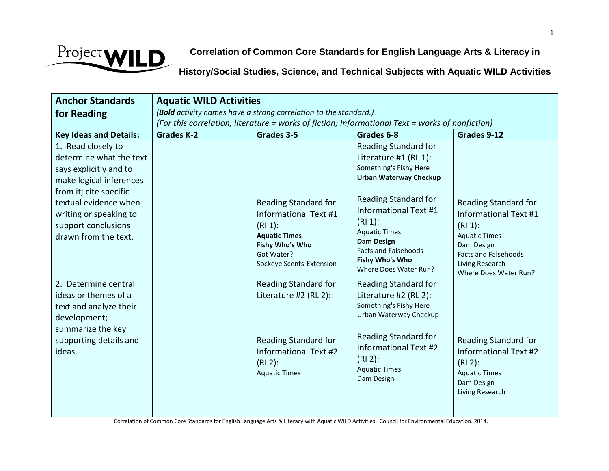

**Correlation of Common Core Standards for English Language Arts & Literacy in**

**History/Social Studies, Science, and Technical Subjects with Aquatic WILD Activities**

| <b>Anchor Standards</b>                                                                                                                                                                                                        | <b>Aquatic WILD Activities</b>                                                                                                                                      |                                                                                                                                                        |                                                                                                                                                                                                                                                                                                            |                                                                                                                                                                                            |
|--------------------------------------------------------------------------------------------------------------------------------------------------------------------------------------------------------------------------------|---------------------------------------------------------------------------------------------------------------------------------------------------------------------|--------------------------------------------------------------------------------------------------------------------------------------------------------|------------------------------------------------------------------------------------------------------------------------------------------------------------------------------------------------------------------------------------------------------------------------------------------------------------|--------------------------------------------------------------------------------------------------------------------------------------------------------------------------------------------|
| for Reading                                                                                                                                                                                                                    | (Bold activity names have a strong correlation to the standard.)<br>(For this correlation, literature = works of fiction; Informational Text = works of nonfiction) |                                                                                                                                                        |                                                                                                                                                                                                                                                                                                            |                                                                                                                                                                                            |
| <b>Key Ideas and Details:</b>                                                                                                                                                                                                  | <b>Grades K-2</b>                                                                                                                                                   | Grades 3-5                                                                                                                                             | Grades 6-8                                                                                                                                                                                                                                                                                                 | Grades 9-12                                                                                                                                                                                |
| 1. Read closely to<br>determine what the text<br>says explicitly and to<br>make logical inferences<br>from it; cite specific<br>textual evidence when<br>writing or speaking to<br>support conclusions<br>drawn from the text. |                                                                                                                                                                     | Reading Standard for<br><b>Informational Text #1</b><br>$(R11)$ :<br><b>Aquatic Times</b><br>Fishy Who's Who<br>Got Water?<br>Sockeye Scents-Extension | <b>Reading Standard for</b><br>Literature #1 (RL 1):<br>Something's Fishy Here<br><b>Urban Waterway Checkup</b><br>Reading Standard for<br><b>Informational Text #1</b><br>(RI 1):<br><b>Aquatic Times</b><br><b>Dam Design</b><br><b>Facts and Falsehoods</b><br>Fishy Who's Who<br>Where Does Water Run? | <b>Reading Standard for</b><br><b>Informational Text #1</b><br>$(RI 1)$ :<br><b>Aquatic Times</b><br>Dam Design<br><b>Facts and Falsehoods</b><br>Living Research<br>Where Does Water Run? |
| 2. Determine central<br>ideas or themes of a<br>text and analyze their<br>development;<br>summarize the key<br>supporting details and<br>ideas.                                                                                |                                                                                                                                                                     | Reading Standard for<br>Literature #2 (RL 2):<br>Reading Standard for<br><b>Informational Text #2</b><br>$(R12)$ :<br><b>Aquatic Times</b>             | <b>Reading Standard for</b><br>Literature #2 (RL 2):<br>Something's Fishy Here<br>Urban Waterway Checkup<br>Reading Standard for<br><b>Informational Text #2</b><br>$(RI 2)$ :<br><b>Aquatic Times</b><br>Dam Design                                                                                       | Reading Standard for<br><b>Informational Text #2</b><br>$(R12)$ :<br><b>Aquatic Times</b><br>Dam Design<br>Living Research                                                                 |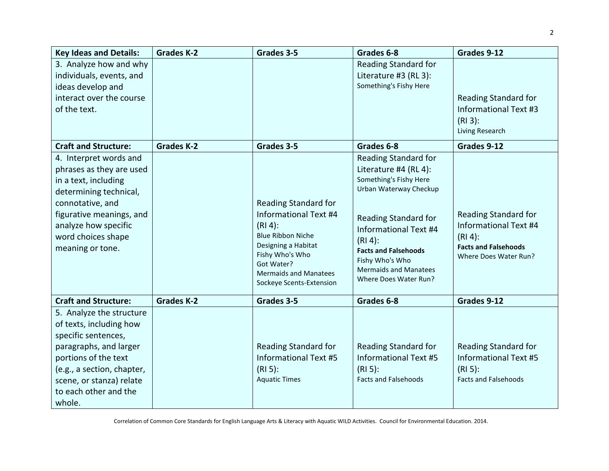| <b>Key Ideas and Details:</b> | <b>Grades K-2</b> | Grades 3-5                             | Grades 6-8                                            | Grades 9-12                  |
|-------------------------------|-------------------|----------------------------------------|-------------------------------------------------------|------------------------------|
| 3. Analyze how and why        |                   |                                        | <b>Reading Standard for</b>                           |                              |
| individuals, events, and      |                   |                                        | Literature #3 (RL 3):                                 |                              |
| ideas develop and             |                   |                                        | Something's Fishy Here                                |                              |
| interact over the course      |                   |                                        |                                                       | <b>Reading Standard for</b>  |
| of the text.                  |                   |                                        |                                                       | <b>Informational Text #3</b> |
|                               |                   |                                        |                                                       | $(R13)$ :                    |
|                               |                   |                                        |                                                       | Living Research              |
| <b>Craft and Structure:</b>   | <b>Grades K-2</b> | Grades 3-5                             | Grades 6-8                                            | Grades 9-12                  |
| 4. Interpret words and        |                   |                                        | <b>Reading Standard for</b>                           |                              |
| phrases as they are used      |                   |                                        | Literature #4 (RL 4):                                 |                              |
| in a text, including          |                   |                                        | Something's Fishy Here                                |                              |
| determining technical,        |                   |                                        | Urban Waterway Checkup                                |                              |
| connotative, and              |                   | <b>Reading Standard for</b>            |                                                       |                              |
| figurative meanings, and      |                   | <b>Informational Text #4</b>           | <b>Reading Standard for</b>                           | <b>Reading Standard for</b>  |
| analyze how specific          |                   | $(RI 4)$ :                             | Informational Text #4                                 | Informational Text #4        |
| word choices shape            |                   | <b>Blue Ribbon Niche</b>               | $(RI 4)$ :                                            | $(RI 4)$ :                   |
| meaning or tone.              |                   | Designing a Habitat<br>Fishy Who's Who | <b>Facts and Falsehoods</b>                           | <b>Facts and Falsehoods</b>  |
|                               |                   | Got Water?                             | Fishy Who's Who                                       | Where Does Water Run?        |
|                               |                   | <b>Mermaids and Manatees</b>           | <b>Mermaids and Manatees</b><br>Where Does Water Run? |                              |
|                               |                   | Sockeye Scents-Extension               |                                                       |                              |
| <b>Craft and Structure:</b>   | <b>Grades K-2</b> | Grades 3-5                             | Grades 6-8                                            | Grades 9-12                  |
| 5. Analyze the structure      |                   |                                        |                                                       |                              |
| of texts, including how       |                   |                                        |                                                       |                              |
| specific sentences,           |                   |                                        |                                                       |                              |
| paragraphs, and larger        |                   | <b>Reading Standard for</b>            | Reading Standard for                                  | Reading Standard for         |
| portions of the text          |                   | <b>Informational Text #5</b>           | <b>Informational Text #5</b>                          | Informational Text #5        |
| (e.g., a section, chapter,    |                   | $(RI5)$ :                              | $(RI_5)$ :                                            | $(RI_5)$ :                   |
| scene, or stanza) relate      |                   | <b>Aquatic Times</b>                   | <b>Facts and Falsehoods</b>                           | <b>Facts and Falsehoods</b>  |
| to each other and the         |                   |                                        |                                                       |                              |
| whole.                        |                   |                                        |                                                       |                              |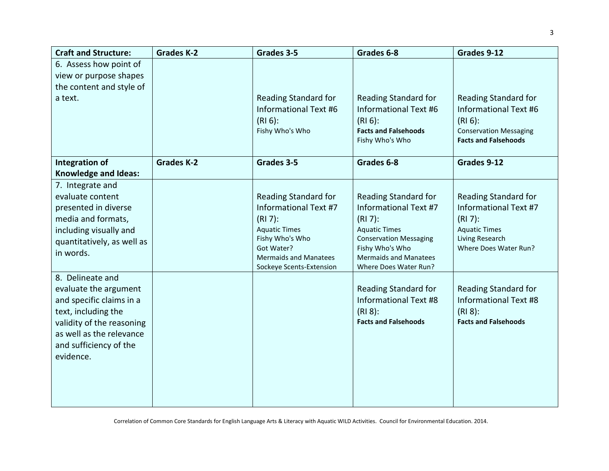| <b>Craft and Structure:</b>             | <b>Grades K-2</b> | Grades 3-5                                                  | Grades 6-8                                            | Grades 9-12                                                 |
|-----------------------------------------|-------------------|-------------------------------------------------------------|-------------------------------------------------------|-------------------------------------------------------------|
| 6. Assess how point of                  |                   |                                                             |                                                       |                                                             |
| view or purpose shapes                  |                   |                                                             |                                                       |                                                             |
| the content and style of                |                   |                                                             |                                                       |                                                             |
| a text.                                 |                   | <b>Reading Standard for</b><br><b>Informational Text #6</b> | Reading Standard for<br>Informational Text #6         | <b>Reading Standard for</b><br><b>Informational Text #6</b> |
|                                         |                   | $(RI 6)$ :                                                  | $(RI_6)$ :                                            | $(RI 6)$ :                                                  |
|                                         |                   | Fishy Who's Who                                             | <b>Facts and Falsehoods</b>                           | <b>Conservation Messaging</b>                               |
|                                         |                   |                                                             | Fishy Who's Who                                       | <b>Facts and Falsehoods</b>                                 |
| Integration of                          | <b>Grades K-2</b> | Grades 3-5                                                  | Grades 6-8                                            | Grades 9-12                                                 |
| <b>Knowledge and Ideas:</b>             |                   |                                                             |                                                       |                                                             |
| 7. Integrate and                        |                   |                                                             |                                                       |                                                             |
| evaluate content                        |                   | <b>Reading Standard for</b>                                 | <b>Reading Standard for</b>                           | <b>Reading Standard for</b>                                 |
| presented in diverse                    |                   | <b>Informational Text #7</b>                                | Informational Text #7                                 | Informational Text #7                                       |
| media and formats,                      |                   | $(R17)$ :                                                   | $(RI 7)$ :                                            | $(R17)$ :                                                   |
| including visually and                  |                   | <b>Aquatic Times</b><br>Fishy Who's Who                     | <b>Aquatic Times</b><br><b>Conservation Messaging</b> | <b>Aquatic Times</b><br>Living Research                     |
| quantitatively, as well as<br>in words. |                   | Got Water?                                                  | Fishy Who's Who                                       | Where Does Water Run?                                       |
|                                         |                   | <b>Mermaids and Manatees</b>                                | <b>Mermaids and Manatees</b>                          |                                                             |
| 8. Delineate and                        |                   | Sockeye Scents-Extension                                    | Where Does Water Run?                                 |                                                             |
| evaluate the argument                   |                   |                                                             | Reading Standard for                                  | <b>Reading Standard for</b>                                 |
| and specific claims in a                |                   |                                                             | <b>Informational Text #8</b>                          | <b>Informational Text #8</b>                                |
| text, including the                     |                   |                                                             | $(RI 8)$ :                                            | $(RI 8)$ :                                                  |
| validity of the reasoning               |                   |                                                             | <b>Facts and Falsehoods</b>                           | <b>Facts and Falsehoods</b>                                 |
| as well as the relevance                |                   |                                                             |                                                       |                                                             |
| and sufficiency of the                  |                   |                                                             |                                                       |                                                             |
| evidence.                               |                   |                                                             |                                                       |                                                             |
|                                         |                   |                                                             |                                                       |                                                             |
|                                         |                   |                                                             |                                                       |                                                             |
|                                         |                   |                                                             |                                                       |                                                             |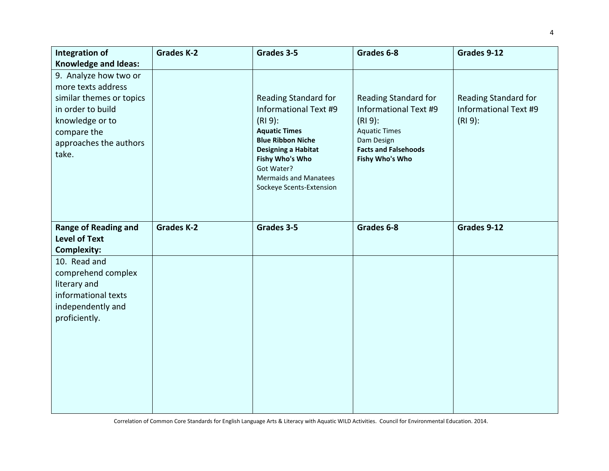| Integration of<br><b>Knowledge and Ideas:</b>                                                                                                                     | <b>Grades K-2</b> | Grades 3-5                                                                                                                                                                                                                                | Grades 6-8                                                                                                                                         | Grades 9-12                                                       |
|-------------------------------------------------------------------------------------------------------------------------------------------------------------------|-------------------|-------------------------------------------------------------------------------------------------------------------------------------------------------------------------------------------------------------------------------------------|----------------------------------------------------------------------------------------------------------------------------------------------------|-------------------------------------------------------------------|
| 9. Analyze how two or<br>more texts address<br>similar themes or topics<br>in order to build<br>knowledge or to<br>compare the<br>approaches the authors<br>take. |                   | Reading Standard for<br>Informational Text #9<br>$(RI9)$ :<br><b>Aquatic Times</b><br><b>Blue Ribbon Niche</b><br><b>Designing a Habitat</b><br>Fishy Who's Who<br>Got Water?<br><b>Mermaids and Manatees</b><br>Sockeye Scents-Extension | Reading Standard for<br>Informational Text #9<br>$(RI9)$ :<br><b>Aquatic Times</b><br>Dam Design<br><b>Facts and Falsehoods</b><br>Fishy Who's Who | <b>Reading Standard for</b><br>Informational Text #9<br>$(RI9)$ : |
| <b>Range of Reading and</b><br><b>Level of Text</b><br><b>Complexity:</b>                                                                                         | <b>Grades K-2</b> | Grades 3-5                                                                                                                                                                                                                                | Grades 6-8                                                                                                                                         | Grades 9-12                                                       |
| 10. Read and<br>comprehend complex<br>literary and<br>informational texts<br>independently and<br>proficiently.                                                   |                   |                                                                                                                                                                                                                                           |                                                                                                                                                    |                                                                   |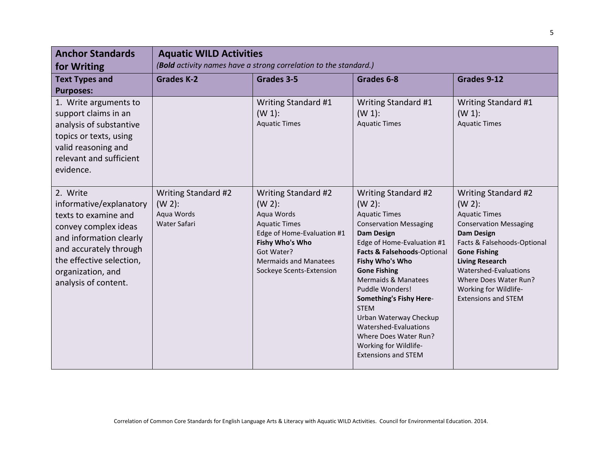| <b>Anchor Standards</b><br>for Writing                                                                                                                                                                            | <b>Aquatic WILD Activities</b><br>(Bold activity names have a strong correlation to the standard.) |                                                                                                                                                                                                   |                                                                                                                                                                                                                                                                                                                                                                                                                                                         |                                                                                                                                                                                                                                                                                                         |
|-------------------------------------------------------------------------------------------------------------------------------------------------------------------------------------------------------------------|----------------------------------------------------------------------------------------------------|---------------------------------------------------------------------------------------------------------------------------------------------------------------------------------------------------|---------------------------------------------------------------------------------------------------------------------------------------------------------------------------------------------------------------------------------------------------------------------------------------------------------------------------------------------------------------------------------------------------------------------------------------------------------|---------------------------------------------------------------------------------------------------------------------------------------------------------------------------------------------------------------------------------------------------------------------------------------------------------|
| <b>Text Types and</b><br><b>Purposes:</b>                                                                                                                                                                         | <b>Grades K-2</b>                                                                                  | Grades 3-5                                                                                                                                                                                        | Grades 6-8                                                                                                                                                                                                                                                                                                                                                                                                                                              | Grades 9-12                                                                                                                                                                                                                                                                                             |
| 1. Write arguments to<br>support claims in an<br>analysis of substantive<br>topics or texts, using<br>valid reasoning and<br>relevant and sufficient<br>evidence.                                                 |                                                                                                    | Writing Standard #1<br>$(W 1)$ :<br><b>Aquatic Times</b>                                                                                                                                          | Writing Standard #1<br>$(W 1)$ :<br><b>Aquatic Times</b>                                                                                                                                                                                                                                                                                                                                                                                                | Writing Standard #1<br>$(W 1)$ :<br><b>Aquatic Times</b>                                                                                                                                                                                                                                                |
| 2. Write<br>informative/explanatory<br>texts to examine and<br>convey complex ideas<br>and information clearly<br>and accurately through<br>the effective selection,<br>organization, and<br>analysis of content. | Writing Standard #2<br>$(W 2)$ :<br>Aqua Words<br>Water Safari                                     | Writing Standard #2<br>$(W 2)$ :<br>Aqua Words<br><b>Aquatic Times</b><br>Edge of Home-Evaluation #1<br>Fishy Who's Who<br>Got Water?<br><b>Mermaids and Manatees</b><br>Sockeye Scents-Extension | Writing Standard #2<br>$(W 2)$ :<br><b>Aquatic Times</b><br><b>Conservation Messaging</b><br><b>Dam Design</b><br>Edge of Home-Evaluation #1<br>Facts & Falsehoods-Optional<br>Fishy Who's Who<br><b>Gone Fishing</b><br><b>Mermaids &amp; Manatees</b><br>Puddle Wonders!<br>Something's Fishy Here-<br><b>STEM</b><br>Urban Waterway Checkup<br>Watershed-Evaluations<br>Where Does Water Run?<br>Working for Wildlife-<br><b>Extensions and STEM</b> | Writing Standard #2<br>$(W 2)$ :<br><b>Aquatic Times</b><br><b>Conservation Messaging</b><br><b>Dam Design</b><br>Facts & Falsehoods-Optional<br><b>Gone Fishing</b><br><b>Living Research</b><br>Watershed-Evaluations<br>Where Does Water Run?<br>Working for Wildlife-<br><b>Extensions and STEM</b> |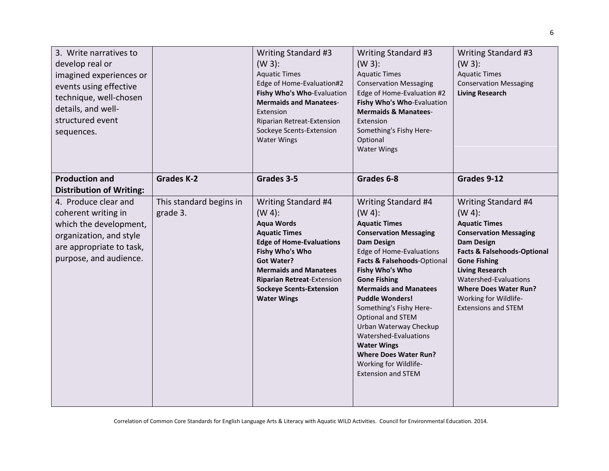| 3. Write narratives to<br>develop real or<br>imagined experiences or<br>events using effective<br>technique, well-chosen<br>details, and well-<br>structured event<br>sequences. |                                     | Writing Standard #3<br>$(W 3)$ :<br><b>Aquatic Times</b><br>Edge of Home-Evaluation#2<br>Fishy Who's Who-Evaluation<br><b>Mermaids and Manatees-</b><br>Extension<br>Riparian Retreat-Extension<br>Sockeye Scents-Extension<br><b>Water Wings</b>                                      | Writing Standard #3<br>$(W 3)$ :<br><b>Aquatic Times</b><br><b>Conservation Messaging</b><br>Edge of Home-Evaluation #2<br>Fishy Who's Who-Evaluation<br><b>Mermaids &amp; Manatees-</b><br>Extension<br>Something's Fishy Here-<br>Optional<br><b>Water Wings</b>                                                                                                                                                                                                                                  | Writing Standard #3<br>$(W 3)$ :<br><b>Aquatic Times</b><br><b>Conservation Messaging</b><br><b>Living Research</b>                                                                                                                                                                                                       |
|----------------------------------------------------------------------------------------------------------------------------------------------------------------------------------|-------------------------------------|----------------------------------------------------------------------------------------------------------------------------------------------------------------------------------------------------------------------------------------------------------------------------------------|-----------------------------------------------------------------------------------------------------------------------------------------------------------------------------------------------------------------------------------------------------------------------------------------------------------------------------------------------------------------------------------------------------------------------------------------------------------------------------------------------------|---------------------------------------------------------------------------------------------------------------------------------------------------------------------------------------------------------------------------------------------------------------------------------------------------------------------------|
| <b>Production and</b><br><b>Distribution of Writing:</b>                                                                                                                         | <b>Grades K-2</b>                   | Grades 3-5                                                                                                                                                                                                                                                                             | Grades 6-8                                                                                                                                                                                                                                                                                                                                                                                                                                                                                          | Grades 9-12                                                                                                                                                                                                                                                                                                               |
| 4. Produce clear and<br>coherent writing in<br>which the development,<br>organization, and style<br>are appropriate to task,<br>purpose, and audience.                           | This standard begins in<br>grade 3. | Writing Standard #4<br>$(W 4)$ :<br><b>Aqua Words</b><br><b>Aquatic Times</b><br><b>Edge of Home-Evaluations</b><br>Fishy Who's Who<br><b>Got Water?</b><br><b>Mermaids and Manatees</b><br><b>Riparian Retreat-Extension</b><br><b>Sockeye Scents-Extension</b><br><b>Water Wings</b> | Writing Standard #4<br>$(W 4)$ :<br><b>Aquatic Times</b><br><b>Conservation Messaging</b><br><b>Dam Design</b><br><b>Edge of Home-Evaluations</b><br>Facts & Falsehoods-Optional<br>Fishy Who's Who<br><b>Gone Fishing</b><br><b>Mermaids and Manatees</b><br><b>Puddle Wonders!</b><br>Something's Fishy Here-<br>Optional and STEM<br>Urban Waterway Checkup<br>Watershed-Evaluations<br><b>Water Wings</b><br><b>Where Does Water Run?</b><br>Working for Wildlife-<br><b>Extension and STEM</b> | Writing Standard #4<br>$(W 4)$ :<br><b>Aquatic Times</b><br><b>Conservation Messaging</b><br><b>Dam Design</b><br><b>Facts &amp; Falsehoods-Optional</b><br><b>Gone Fishing</b><br><b>Living Research</b><br>Watershed-Evaluations<br><b>Where Does Water Run?</b><br>Working for Wildlife-<br><b>Extensions and STEM</b> |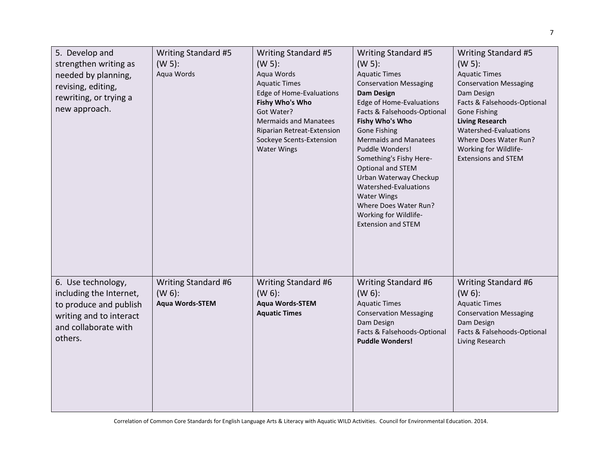| 5. Develop and<br>strengthen writing as<br>needed by planning,<br>revising, editing,<br>rewriting, or trying a<br>new approach.       | Writing Standard #5<br>$(W 5)$ :<br>Aqua Words             | Writing Standard #5<br>$(W 5)$ :<br>Aqua Words<br><b>Aquatic Times</b><br>Edge of Home-Evaluations<br>Fishy Who's Who<br>Got Water?<br><b>Mermaids and Manatees</b><br>Riparian Retreat-Extension<br>Sockeye Scents-Extension<br><b>Water Wings</b> | Writing Standard #5<br>$(W 5)$ :<br><b>Aquatic Times</b><br><b>Conservation Messaging</b><br><b>Dam Design</b><br>Edge of Home-Evaluations<br>Facts & Falsehoods-Optional<br>Fishy Who's Who<br><b>Gone Fishing</b><br><b>Mermaids and Manatees</b><br>Puddle Wonders!<br>Something's Fishy Here-<br>Optional and STEM<br>Urban Waterway Checkup<br>Watershed-Evaluations<br><b>Water Wings</b><br>Where Does Water Run?<br>Working for Wildlife-<br><b>Extension and STEM</b> | Writing Standard #5<br>$(W 5)$ :<br><b>Aquatic Times</b><br><b>Conservation Messaging</b><br>Dam Design<br>Facts & Falsehoods-Optional<br><b>Gone Fishing</b><br><b>Living Research</b><br>Watershed-Evaluations<br>Where Does Water Run?<br>Working for Wildlife-<br><b>Extensions and STEM</b> |
|---------------------------------------------------------------------------------------------------------------------------------------|------------------------------------------------------------|-----------------------------------------------------------------------------------------------------------------------------------------------------------------------------------------------------------------------------------------------------|--------------------------------------------------------------------------------------------------------------------------------------------------------------------------------------------------------------------------------------------------------------------------------------------------------------------------------------------------------------------------------------------------------------------------------------------------------------------------------|--------------------------------------------------------------------------------------------------------------------------------------------------------------------------------------------------------------------------------------------------------------------------------------------------|
| 6. Use technology,<br>including the Internet,<br>to produce and publish<br>writing and to interact<br>and collaborate with<br>others. | Writing Standard #6<br>$(W 6)$ :<br><b>Aqua Words-STEM</b> | Writing Standard #6<br>$(W 6)$ :<br><b>Aqua Words-STEM</b><br><b>Aquatic Times</b>                                                                                                                                                                  | Writing Standard #6<br>$(W 6)$ :<br><b>Aquatic Times</b><br><b>Conservation Messaging</b><br>Dam Design<br>Facts & Falsehoods-Optional<br><b>Puddle Wonders!</b>                                                                                                                                                                                                                                                                                                               | Writing Standard #6<br>$(W 6)$ :<br><b>Aquatic Times</b><br><b>Conservation Messaging</b><br>Dam Design<br>Facts & Falsehoods-Optional<br>Living Research                                                                                                                                        |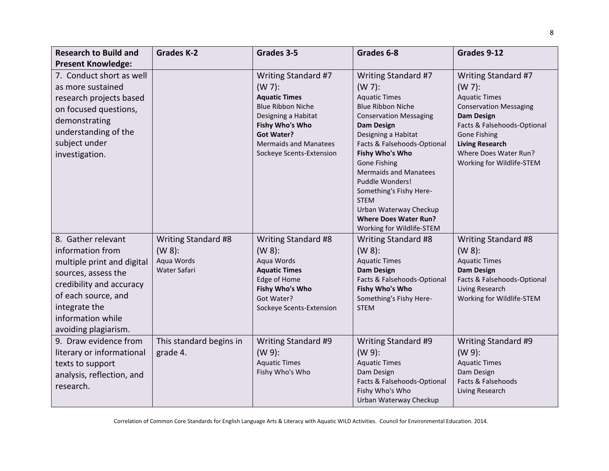| <b>Research to Build and</b>                                                                                                                                                                                 | <b>Grades K-2</b>                                              | Grades 3-5                                                                                                                                                                                                      | Grades 6-8                                                                                                                                                                                                                                                                                                                                                                                                                     | Grades 9-12                                                                                                                                                                                                                                          |
|--------------------------------------------------------------------------------------------------------------------------------------------------------------------------------------------------------------|----------------------------------------------------------------|-----------------------------------------------------------------------------------------------------------------------------------------------------------------------------------------------------------------|--------------------------------------------------------------------------------------------------------------------------------------------------------------------------------------------------------------------------------------------------------------------------------------------------------------------------------------------------------------------------------------------------------------------------------|------------------------------------------------------------------------------------------------------------------------------------------------------------------------------------------------------------------------------------------------------|
| <b>Present Knowledge:</b>                                                                                                                                                                                    |                                                                |                                                                                                                                                                                                                 |                                                                                                                                                                                                                                                                                                                                                                                                                                |                                                                                                                                                                                                                                                      |
| 7. Conduct short as well<br>as more sustained<br>research projects based<br>on focused questions,<br>demonstrating<br>understanding of the<br>subject under<br>investigation.                                |                                                                | Writing Standard #7<br>$(W 7)$ :<br><b>Aquatic Times</b><br><b>Blue Ribbon Niche</b><br>Designing a Habitat<br>Fishy Who's Who<br><b>Got Water?</b><br><b>Mermaids and Manatees</b><br>Sockeye Scents-Extension | Writing Standard #7<br>$(W 7)$ :<br><b>Aquatic Times</b><br><b>Blue Ribbon Niche</b><br><b>Conservation Messaging</b><br><b>Dam Design</b><br>Designing a Habitat<br>Facts & Falsehoods-Optional<br>Fishy Who's Who<br><b>Gone Fishing</b><br><b>Mermaids and Manatees</b><br>Puddle Wonders!<br>Something's Fishy Here-<br><b>STEM</b><br>Urban Waterway Checkup<br><b>Where Does Water Run?</b><br>Working for Wildlife-STEM | Writing Standard #7<br>$(W 7)$ :<br><b>Aquatic Times</b><br><b>Conservation Messaging</b><br><b>Dam Design</b><br>Facts & Falsehoods-Optional<br><b>Gone Fishing</b><br><b>Living Research</b><br>Where Does Water Run?<br>Working for Wildlife-STEM |
| 8. Gather relevant<br>information from<br>multiple print and digital<br>sources, assess the<br>credibility and accuracy<br>of each source, and<br>integrate the<br>information while<br>avoiding plagiarism. | Writing Standard #8<br>$(W 8)$ :<br>Aqua Words<br>Water Safari | Writing Standard #8<br>$(W 8)$ :<br>Aqua Words<br><b>Aquatic Times</b><br>Edge of Home<br>Fishy Who's Who<br>Got Water?<br>Sockeye Scents-Extension                                                             | Writing Standard #8<br>$(W 8)$ :<br><b>Aquatic Times</b><br><b>Dam Design</b><br>Facts & Falsehoods-Optional<br>Fishy Who's Who<br>Something's Fishy Here-<br><b>STEM</b>                                                                                                                                                                                                                                                      | Writing Standard #8<br>$(W 8)$ :<br><b>Aquatic Times</b><br><b>Dam Design</b><br>Facts & Falsehoods-Optional<br>Living Research<br>Working for Wildlife-STEM                                                                                         |
| 9. Draw evidence from<br>literary or informational<br>texts to support<br>analysis, reflection, and<br>research.                                                                                             | This standard begins in<br>grade 4.                            | Writing Standard #9<br>$(W 9)$ :<br><b>Aquatic Times</b><br>Fishy Who's Who                                                                                                                                     | Writing Standard #9<br>$(W 9)$ :<br><b>Aquatic Times</b><br>Dam Design<br>Facts & Falsehoods-Optional<br>Fishy Who's Who<br>Urban Waterway Checkup                                                                                                                                                                                                                                                                             | Writing Standard #9<br>$(W 9)$ :<br><b>Aquatic Times</b><br>Dam Design<br>Facts & Falsehoods<br>Living Research                                                                                                                                      |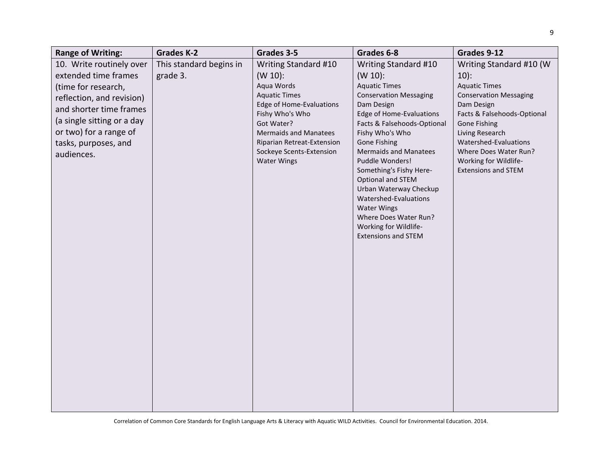| <b>Range of Writing:</b>                                                                                                                                                                                                      | <b>Grades K-2</b>                   | Grades 3-5                                                                                                                                                                                                                                            | Grades 6-8                                                                                                                                                                                                                                                                                                                                                                                                                                                                 | Grades 9-12                                                                                                                                                                                                                                                                          |
|-------------------------------------------------------------------------------------------------------------------------------------------------------------------------------------------------------------------------------|-------------------------------------|-------------------------------------------------------------------------------------------------------------------------------------------------------------------------------------------------------------------------------------------------------|----------------------------------------------------------------------------------------------------------------------------------------------------------------------------------------------------------------------------------------------------------------------------------------------------------------------------------------------------------------------------------------------------------------------------------------------------------------------------|--------------------------------------------------------------------------------------------------------------------------------------------------------------------------------------------------------------------------------------------------------------------------------------|
| 10. Write routinely over<br>extended time frames<br>(time for research,<br>reflection, and revision)<br>and shorter time frames<br>(a single sitting or a day<br>or two) for a range of<br>tasks, purposes, and<br>audiences. | This standard begins in<br>grade 3. | Writing Standard #10<br>$(W 10)$ :<br>Aqua Words<br><b>Aquatic Times</b><br>Edge of Home-Evaluations<br>Fishy Who's Who<br>Got Water?<br><b>Mermaids and Manatees</b><br>Riparian Retreat-Extension<br>Sockeye Scents-Extension<br><b>Water Wings</b> | Writing Standard #10<br>$(W 10)$ :<br><b>Aquatic Times</b><br><b>Conservation Messaging</b><br>Dam Design<br>Edge of Home-Evaluations<br>Facts & Falsehoods-Optional<br>Fishy Who's Who<br><b>Gone Fishing</b><br><b>Mermaids and Manatees</b><br>Puddle Wonders!<br>Something's Fishy Here-<br>Optional and STEM<br>Urban Waterway Checkup<br>Watershed-Evaluations<br><b>Water Wings</b><br>Where Does Water Run?<br>Working for Wildlife-<br><b>Extensions and STEM</b> | Writing Standard #10 (W<br>$10)$ :<br><b>Aquatic Times</b><br><b>Conservation Messaging</b><br>Dam Design<br>Facts & Falsehoods-Optional<br>Gone Fishing<br>Living Research<br>Watershed-Evaluations<br>Where Does Water Run?<br>Working for Wildlife-<br><b>Extensions and STEM</b> |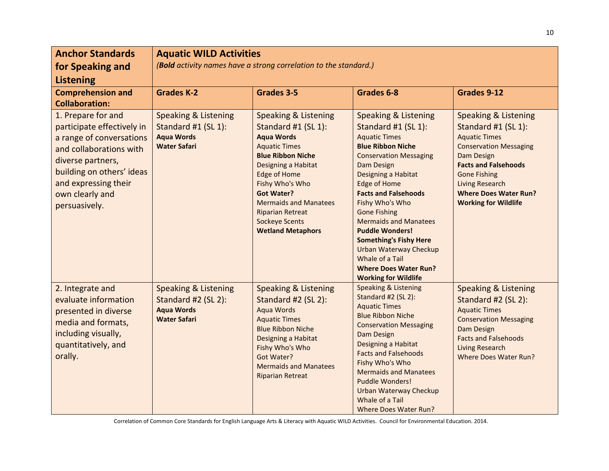| <b>Anchor Standards</b><br>for Speaking and<br><b>Listening</b>                                                                                                                                                       | <b>Aquatic WILD Activities</b><br>(Bold activity names have a strong correlation to the standard.) |                                                                                                                                                                                                                                                                                                                                       |                                                                                                                                                                                                                                                                                                                                                                                                                                                                                                |                                                                                                                                                                                                                                                                              |
|-----------------------------------------------------------------------------------------------------------------------------------------------------------------------------------------------------------------------|----------------------------------------------------------------------------------------------------|---------------------------------------------------------------------------------------------------------------------------------------------------------------------------------------------------------------------------------------------------------------------------------------------------------------------------------------|------------------------------------------------------------------------------------------------------------------------------------------------------------------------------------------------------------------------------------------------------------------------------------------------------------------------------------------------------------------------------------------------------------------------------------------------------------------------------------------------|------------------------------------------------------------------------------------------------------------------------------------------------------------------------------------------------------------------------------------------------------------------------------|
| <b>Comprehension and</b><br><b>Collaboration:</b>                                                                                                                                                                     | <b>Grades K-2</b>                                                                                  | Grades 3-5                                                                                                                                                                                                                                                                                                                            | Grades 6-8                                                                                                                                                                                                                                                                                                                                                                                                                                                                                     | Grades 9-12                                                                                                                                                                                                                                                                  |
| 1. Prepare for and<br>participate effectively in<br>a range of conversations<br>and collaborations with<br>diverse partners,<br>building on others' ideas<br>and expressing their<br>own clearly and<br>persuasively. | <b>Speaking &amp; Listening</b><br>Standard #1 (SL 1):<br><b>Aqua Words</b><br><b>Water Safari</b> | <b>Speaking &amp; Listening</b><br>Standard #1 (SL 1):<br><b>Aqua Words</b><br><b>Aquatic Times</b><br><b>Blue Ribbon Niche</b><br>Designing a Habitat<br><b>Edge of Home</b><br>Fishy Who's Who<br><b>Got Water?</b><br><b>Mermaids and Manatees</b><br><b>Riparian Retreat</b><br><b>Sockeye Scents</b><br><b>Wetland Metaphors</b> | <b>Speaking &amp; Listening</b><br>Standard #1 (SL 1):<br><b>Aquatic Times</b><br><b>Blue Ribbon Niche</b><br><b>Conservation Messaging</b><br><b>Dam Design</b><br>Designing a Habitat<br>Edge of Home<br><b>Facts and Falsehoods</b><br>Fishy Who's Who<br><b>Gone Fishing</b><br><b>Mermaids and Manatees</b><br><b>Puddle Wonders!</b><br><b>Something's Fishy Here</b><br><b>Urban Waterway Checkup</b><br>Whale of a Tail<br><b>Where Does Water Run?</b><br><b>Working for Wildlife</b> | <b>Speaking &amp; Listening</b><br>Standard #1 (SL 1):<br><b>Aquatic Times</b><br><b>Conservation Messaging</b><br>Dam Design<br><b>Facts and Falsehoods</b><br><b>Gone Fishing</b><br><b>Living Research</b><br><b>Where Does Water Run?</b><br><b>Working for Wildlife</b> |
| 2. Integrate and<br>evaluate information<br>presented in diverse<br>media and formats,<br>including visually,<br>quantitatively, and<br>orally.                                                                       | <b>Speaking &amp; Listening</b><br>Standard #2 (SL 2):<br><b>Aqua Words</b><br><b>Water Safari</b> | <b>Speaking &amp; Listening</b><br>Standard #2 (SL 2):<br><b>Aqua Words</b><br><b>Aquatic Times</b><br><b>Blue Ribbon Niche</b><br>Designing a Habitat<br>Fishy Who's Who<br>Got Water?<br><b>Mermaids and Manatees</b><br><b>Riparian Retreat</b>                                                                                    | <b>Speaking &amp; Listening</b><br>Standard #2 (SL 2):<br><b>Aquatic Times</b><br><b>Blue Ribbon Niche</b><br><b>Conservation Messaging</b><br><b>Dam Design</b><br>Designing a Habitat<br><b>Facts and Falsehoods</b><br>Fishy Who's Who<br><b>Mermaids and Manatees</b><br><b>Puddle Wonders!</b><br><b>Urban Waterway Checkup</b><br>Whale of a Tail<br>Where Does Water Run?                                                                                                               | <b>Speaking &amp; Listening</b><br>Standard #2 (SL 2):<br><b>Aquatic Times</b><br><b>Conservation Messaging</b><br>Dam Design<br><b>Facts and Falsehoods</b><br><b>Living Research</b><br><b>Where Does Water Run?</b>                                                       |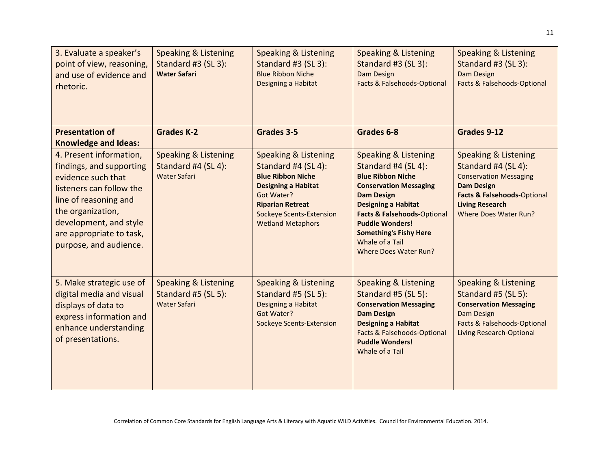| 3. Evaluate a speaker's<br>point of view, reasoning,<br>and use of evidence and<br>rhetoric.                                                                                                                                        | <b>Speaking &amp; Listening</b><br>Standard #3 (SL 3):<br><b>Water Safari</b> | <b>Speaking &amp; Listening</b><br>Standard #3 (SL 3):<br><b>Blue Ribbon Niche</b><br>Designing a Habitat                                                                                                                | <b>Speaking &amp; Listening</b><br>Standard #3 (SL 3):<br>Dam Design<br>Facts & Falsehoods-Optional                                                                                                                                                                                                                     | <b>Speaking &amp; Listening</b><br>Standard #3 (SL 3):<br>Dam Design<br>Facts & Falsehoods-Optional                                                                                                   |
|-------------------------------------------------------------------------------------------------------------------------------------------------------------------------------------------------------------------------------------|-------------------------------------------------------------------------------|--------------------------------------------------------------------------------------------------------------------------------------------------------------------------------------------------------------------------|-------------------------------------------------------------------------------------------------------------------------------------------------------------------------------------------------------------------------------------------------------------------------------------------------------------------------|-------------------------------------------------------------------------------------------------------------------------------------------------------------------------------------------------------|
| <b>Presentation of</b><br><b>Knowledge and Ideas:</b>                                                                                                                                                                               | <b>Grades K-2</b>                                                             | Grades 3-5                                                                                                                                                                                                               | Grades 6-8                                                                                                                                                                                                                                                                                                              | Grades 9-12                                                                                                                                                                                           |
| 4. Present information,<br>findings, and supporting<br>evidence such that<br>listeners can follow the<br>line of reasoning and<br>the organization,<br>development, and style<br>are appropriate to task,<br>purpose, and audience. | <b>Speaking &amp; Listening</b><br>Standard #4 (SL 4):<br><b>Water Safari</b> | <b>Speaking &amp; Listening</b><br>Standard #4 (SL 4):<br><b>Blue Ribbon Niche</b><br><b>Designing a Habitat</b><br>Got Water?<br><b>Riparian Retreat</b><br><b>Sockeye Scents-Extension</b><br><b>Wetland Metaphors</b> | <b>Speaking &amp; Listening</b><br>Standard #4 (SL 4):<br><b>Blue Ribbon Niche</b><br><b>Conservation Messaging</b><br><b>Dam Design</b><br><b>Designing a Habitat</b><br><b>Facts &amp; Falsehoods-Optional</b><br><b>Puddle Wonders!</b><br><b>Something's Fishy Here</b><br>Whale of a Tail<br>Where Does Water Run? | <b>Speaking &amp; Listening</b><br>Standard #4 (SL 4):<br><b>Conservation Messaging</b><br><b>Dam Design</b><br>Facts & Falsehoods-Optional<br><b>Living Research</b><br><b>Where Does Water Run?</b> |
| 5. Make strategic use of<br>digital media and visual<br>displays of data to<br>express information and<br>enhance understanding<br>of presentations.                                                                                | <b>Speaking &amp; Listening</b><br>Standard #5 (SL 5):<br><b>Water Safari</b> | <b>Speaking &amp; Listening</b><br>Standard #5 (SL 5):<br>Designing a Habitat<br>Got Water?<br><b>Sockeye Scents-Extension</b>                                                                                           | <b>Speaking &amp; Listening</b><br>Standard #5 (SL 5):<br><b>Conservation Messaging</b><br><b>Dam Design</b><br><b>Designing a Habitat</b><br><b>Facts &amp; Falsehoods-Optional</b><br><b>Puddle Wonders!</b><br>Whale of a Tail                                                                                       | <b>Speaking &amp; Listening</b><br>Standard #5 (SL 5):<br><b>Conservation Messaging</b><br>Dam Design<br>Facts & Falsehoods-Optional<br><b>Living Research-Optional</b>                               |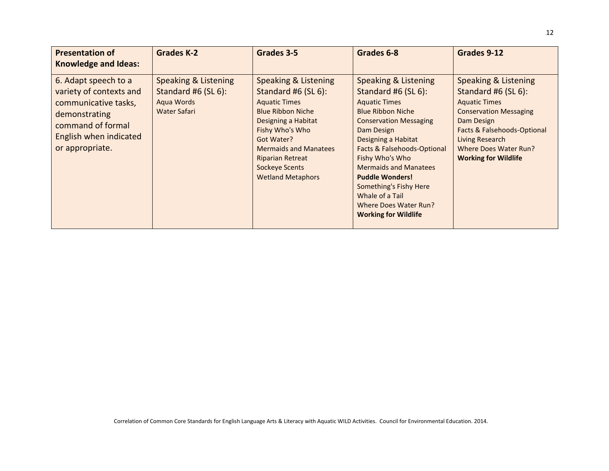| <b>Presentation of</b><br><b>Knowledge and Ideas:</b>                                                                                                      | <b>Grades K-2</b>                                                         | Grades 3-5                                                                                                                                                                                                                                                              | Grades 6-8                                                                                                                                                                                                                                                                                                                                                                             | Grades 9-12                                                                                                                                                                                                                  |
|------------------------------------------------------------------------------------------------------------------------------------------------------------|---------------------------------------------------------------------------|-------------------------------------------------------------------------------------------------------------------------------------------------------------------------------------------------------------------------------------------------------------------------|----------------------------------------------------------------------------------------------------------------------------------------------------------------------------------------------------------------------------------------------------------------------------------------------------------------------------------------------------------------------------------------|------------------------------------------------------------------------------------------------------------------------------------------------------------------------------------------------------------------------------|
| 6. Adapt speech to a<br>variety of contexts and<br>communicative tasks,<br>demonstrating<br>command of formal<br>English when indicated<br>or appropriate. | Speaking & Listening<br>Standard #6 (SL 6):<br>Aqua Words<br>Water Safari | Speaking & Listening<br>Standard #6 (SL 6):<br><b>Aquatic Times</b><br><b>Blue Ribbon Niche</b><br>Designing a Habitat<br>Fishy Who's Who<br>Got Water?<br><b>Mermaids and Manatees</b><br><b>Riparian Retreat</b><br><b>Sockeye Scents</b><br><b>Wetland Metaphors</b> | Speaking & Listening<br>Standard #6 (SL 6):<br><b>Aquatic Times</b><br><b>Blue Ribbon Niche</b><br><b>Conservation Messaging</b><br>Dam Design<br>Designing a Habitat<br>Facts & Falsehoods-Optional<br>Fishy Who's Who<br><b>Mermaids and Manatees</b><br><b>Puddle Wonders!</b><br>Something's Fishy Here<br>Whale of a Tail<br>Where Does Water Run?<br><b>Working for Wildlife</b> | Speaking & Listening<br>Standard #6 (SL 6):<br><b>Aquatic Times</b><br><b>Conservation Messaging</b><br>Dam Design<br>Facts & Falsehoods-Optional<br>Living Research<br>Where Does Water Run?<br><b>Working for Wildlife</b> |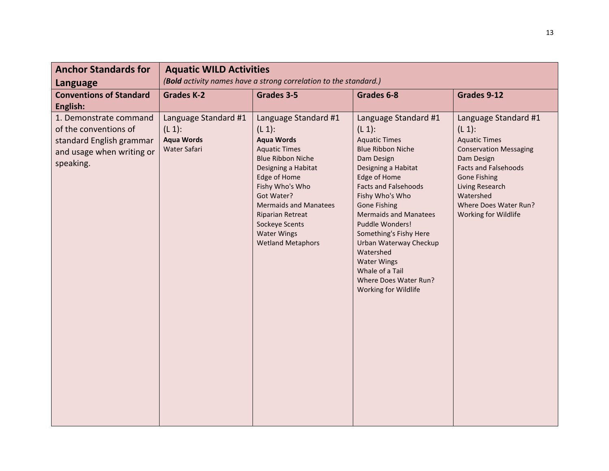| <b>Anchor Standards for</b><br>Language                                                                               | <b>Aquatic WILD Activities</b><br>(Bold activity names have a strong correlation to the standard.) |                                                                                                                                                                                                                                                                                                                   |                                                                                                                                                                                                                                                                                                                                                                                                                                   |                                                                                                                                                                                                                                                 |
|-----------------------------------------------------------------------------------------------------------------------|----------------------------------------------------------------------------------------------------|-------------------------------------------------------------------------------------------------------------------------------------------------------------------------------------------------------------------------------------------------------------------------------------------------------------------|-----------------------------------------------------------------------------------------------------------------------------------------------------------------------------------------------------------------------------------------------------------------------------------------------------------------------------------------------------------------------------------------------------------------------------------|-------------------------------------------------------------------------------------------------------------------------------------------------------------------------------------------------------------------------------------------------|
| <b>Conventions of Standard</b><br>English:                                                                            | <b>Grades K-2</b>                                                                                  | Grades 3-5                                                                                                                                                                                                                                                                                                        | Grades 6-8                                                                                                                                                                                                                                                                                                                                                                                                                        | Grades 9-12                                                                                                                                                                                                                                     |
| 1. Demonstrate command<br>of the conventions of<br>standard English grammar<br>and usage when writing or<br>speaking. | Language Standard #1<br>$(L 1)$ :<br><b>Aqua Words</b><br><b>Water Safari</b>                      | Language Standard #1<br>$(L 1)$ :<br><b>Aqua Words</b><br><b>Aquatic Times</b><br><b>Blue Ribbon Niche</b><br>Designing a Habitat<br>Edge of Home<br>Fishy Who's Who<br>Got Water?<br><b>Mermaids and Manatees</b><br><b>Riparian Retreat</b><br>Sockeye Scents<br><b>Water Wings</b><br><b>Wetland Metaphors</b> | Language Standard #1<br>$(L 1)$ :<br><b>Aquatic Times</b><br><b>Blue Ribbon Niche</b><br>Dam Design<br>Designing a Habitat<br>Edge of Home<br><b>Facts and Falsehoods</b><br>Fishy Who's Who<br><b>Gone Fishing</b><br><b>Mermaids and Manatees</b><br>Puddle Wonders!<br>Something's Fishy Here<br>Urban Waterway Checkup<br>Watershed<br><b>Water Wings</b><br>Whale of a Tail<br>Where Does Water Run?<br>Working for Wildlife | Language Standard #1<br>$(L 1)$ :<br><b>Aquatic Times</b><br><b>Conservation Messaging</b><br>Dam Design<br><b>Facts and Falsehoods</b><br><b>Gone Fishing</b><br>Living Research<br>Watershed<br>Where Does Water Run?<br>Working for Wildlife |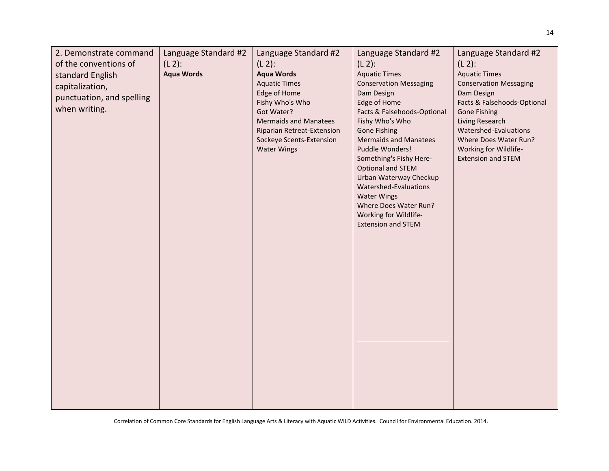| 2. Demonstrate command    | Language Standard #2 | Language Standard #2                       | Language Standard #2                           | Language Standard #2                   |
|---------------------------|----------------------|--------------------------------------------|------------------------------------------------|----------------------------------------|
| of the conventions of     | $(L 2)$ :            | $(L 2)$ :                                  | $(L 2)$ :                                      | $(L 2)$ :                              |
| standard English          | <b>Aqua Words</b>    | <b>Aqua Words</b>                          | <b>Aquatic Times</b>                           | <b>Aquatic Times</b>                   |
| capitalization,           |                      | <b>Aquatic Times</b>                       | <b>Conservation Messaging</b>                  | <b>Conservation Messaging</b>          |
| punctuation, and spelling |                      | Edge of Home                               | Dam Design                                     | Dam Design                             |
| when writing.             |                      | Fishy Who's Who                            | Edge of Home                                   | Facts & Falsehoods-Optional            |
|                           |                      | Got Water?<br><b>Mermaids and Manatees</b> | Facts & Falsehoods-Optional<br>Fishy Who's Who | <b>Gone Fishing</b><br>Living Research |
|                           |                      | Riparian Retreat-Extension                 | <b>Gone Fishing</b>                            | Watershed-Evaluations                  |
|                           |                      | Sockeye Scents-Extension                   | <b>Mermaids and Manatees</b>                   | Where Does Water Run?                  |
|                           |                      | <b>Water Wings</b>                         | Puddle Wonders!                                | Working for Wildlife-                  |
|                           |                      |                                            | Something's Fishy Here-                        | <b>Extension and STEM</b>              |
|                           |                      |                                            | Optional and STEM                              |                                        |
|                           |                      |                                            | Urban Waterway Checkup                         |                                        |
|                           |                      |                                            | Watershed-Evaluations<br><b>Water Wings</b>    |                                        |
|                           |                      |                                            | Where Does Water Run?                          |                                        |
|                           |                      |                                            | Working for Wildlife-                          |                                        |
|                           |                      |                                            | <b>Extension and STEM</b>                      |                                        |
|                           |                      |                                            |                                                |                                        |
|                           |                      |                                            |                                                |                                        |
|                           |                      |                                            |                                                |                                        |
|                           |                      |                                            |                                                |                                        |
|                           |                      |                                            |                                                |                                        |
|                           |                      |                                            |                                                |                                        |
|                           |                      |                                            |                                                |                                        |
|                           |                      |                                            |                                                |                                        |
|                           |                      |                                            |                                                |                                        |
|                           |                      |                                            |                                                |                                        |
|                           |                      |                                            |                                                |                                        |
|                           |                      |                                            |                                                |                                        |
|                           |                      |                                            |                                                |                                        |
|                           |                      |                                            |                                                |                                        |
|                           |                      |                                            |                                                |                                        |
|                           |                      |                                            |                                                |                                        |
|                           |                      |                                            |                                                |                                        |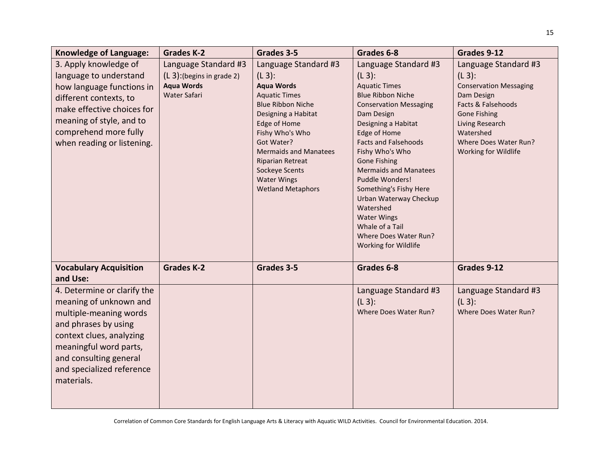| <b>Knowledge of Language:</b>                                                                                                                                                                                                      | <b>Grades K-2</b>                                                                          | Grades 3-5                                                                                                                                                                                                                                                                                                        | Grades 6-8                                                                                                                                                                                                                                                                                                                                                                                                                                                         | Grades 9-12                                                                                                                                                                                                    |
|------------------------------------------------------------------------------------------------------------------------------------------------------------------------------------------------------------------------------------|--------------------------------------------------------------------------------------------|-------------------------------------------------------------------------------------------------------------------------------------------------------------------------------------------------------------------------------------------------------------------------------------------------------------------|--------------------------------------------------------------------------------------------------------------------------------------------------------------------------------------------------------------------------------------------------------------------------------------------------------------------------------------------------------------------------------------------------------------------------------------------------------------------|----------------------------------------------------------------------------------------------------------------------------------------------------------------------------------------------------------------|
| 3. Apply knowledge of<br>language to understand<br>how language functions in<br>different contexts, to<br>make effective choices for<br>meaning of style, and to<br>comprehend more fully<br>when reading or listening.            | Language Standard #3<br>$(L 3)$ : (begins in grade 2)<br><b>Aqua Words</b><br>Water Safari | Language Standard #3<br>$(L_3)$ :<br><b>Aqua Words</b><br><b>Aquatic Times</b><br><b>Blue Ribbon Niche</b><br>Designing a Habitat<br>Edge of Home<br>Fishy Who's Who<br>Got Water?<br><b>Mermaids and Manatees</b><br><b>Riparian Retreat</b><br>Sockeye Scents<br><b>Water Wings</b><br><b>Wetland Metaphors</b> | Language Standard #3<br>$(L_3)$ :<br><b>Aquatic Times</b><br><b>Blue Ribbon Niche</b><br><b>Conservation Messaging</b><br>Dam Design<br>Designing a Habitat<br>Edge of Home<br><b>Facts and Falsehoods</b><br>Fishy Who's Who<br><b>Gone Fishing</b><br><b>Mermaids and Manatees</b><br>Puddle Wonders!<br>Something's Fishy Here<br>Urban Waterway Checkup<br>Watershed<br><b>Water Wings</b><br>Whale of a Tail<br>Where Does Water Run?<br>Working for Wildlife | Language Standard #3<br>$(L_3)$ :<br><b>Conservation Messaging</b><br>Dam Design<br>Facts & Falsehoods<br><b>Gone Fishing</b><br>Living Research<br>Watershed<br>Where Does Water Run?<br>Working for Wildlife |
| <b>Vocabulary Acquisition</b><br>and Use:                                                                                                                                                                                          | <b>Grades K-2</b>                                                                          | Grades 3-5                                                                                                                                                                                                                                                                                                        | Grades 6-8                                                                                                                                                                                                                                                                                                                                                                                                                                                         | Grades 9-12                                                                                                                                                                                                    |
| 4. Determine or clarify the<br>meaning of unknown and<br>multiple-meaning words<br>and phrases by using<br>context clues, analyzing<br>meaningful word parts,<br>and consulting general<br>and specialized reference<br>materials. |                                                                                            |                                                                                                                                                                                                                                                                                                                   | Language Standard #3<br>$(L3)$ :<br>Where Does Water Run?                                                                                                                                                                                                                                                                                                                                                                                                          | Language Standard #3<br>$(L3)$ :<br>Where Does Water Run?                                                                                                                                                      |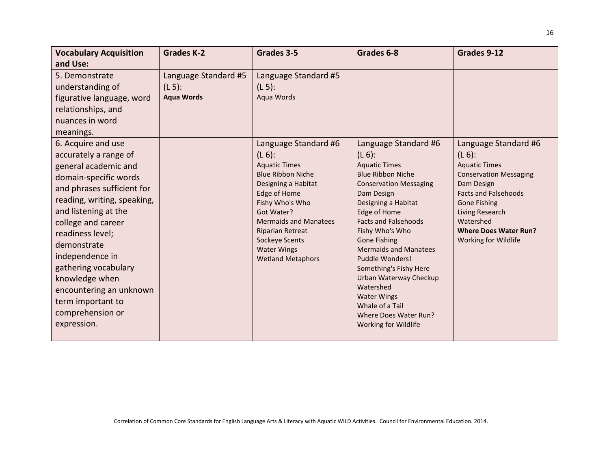| <b>Vocabulary Acquisition</b>                                                                                                                                                                                                                                                                                                                                                              | <b>Grades K-2</b>                                      | Grades 3-5                                                                                                                                                                                                                                                                                   | Grades 6-8                                                                                                                                                                                                                                                                                                                                                                                                                                                         | Grades 9-12                                                                                                                                                                                                                                            |
|--------------------------------------------------------------------------------------------------------------------------------------------------------------------------------------------------------------------------------------------------------------------------------------------------------------------------------------------------------------------------------------------|--------------------------------------------------------|----------------------------------------------------------------------------------------------------------------------------------------------------------------------------------------------------------------------------------------------------------------------------------------------|--------------------------------------------------------------------------------------------------------------------------------------------------------------------------------------------------------------------------------------------------------------------------------------------------------------------------------------------------------------------------------------------------------------------------------------------------------------------|--------------------------------------------------------------------------------------------------------------------------------------------------------------------------------------------------------------------------------------------------------|
| and Use:                                                                                                                                                                                                                                                                                                                                                                                   |                                                        |                                                                                                                                                                                                                                                                                              |                                                                                                                                                                                                                                                                                                                                                                                                                                                                    |                                                                                                                                                                                                                                                        |
| 5. Demonstrate<br>understanding of<br>figurative language, word<br>relationships, and<br>nuances in word<br>meanings.                                                                                                                                                                                                                                                                      | Language Standard #5<br>$(L 5)$ :<br><b>Aqua Words</b> | Language Standard #5<br>$(L 5)$ :<br>Aqua Words                                                                                                                                                                                                                                              |                                                                                                                                                                                                                                                                                                                                                                                                                                                                    |                                                                                                                                                                                                                                                        |
| 6. Acquire and use<br>accurately a range of<br>general academic and<br>domain-specific words<br>and phrases sufficient for<br>reading, writing, speaking,<br>and listening at the<br>college and career<br>readiness level;<br>demonstrate<br>independence in<br>gathering vocabulary<br>knowledge when<br>encountering an unknown<br>term important to<br>comprehension or<br>expression. |                                                        | Language Standard #6<br>$(L 6)$ :<br><b>Aquatic Times</b><br><b>Blue Ribbon Niche</b><br>Designing a Habitat<br>Edge of Home<br>Fishy Who's Who<br>Got Water?<br><b>Mermaids and Manatees</b><br><b>Riparian Retreat</b><br>Sockeye Scents<br><b>Water Wings</b><br><b>Wetland Metaphors</b> | Language Standard #6<br>$(L 6)$ :<br><b>Aquatic Times</b><br><b>Blue Ribbon Niche</b><br><b>Conservation Messaging</b><br>Dam Design<br>Designing a Habitat<br>Edge of Home<br><b>Facts and Falsehoods</b><br>Fishy Who's Who<br><b>Gone Fishing</b><br><b>Mermaids and Manatees</b><br>Puddle Wonders!<br>Something's Fishy Here<br>Urban Waterway Checkup<br>Watershed<br><b>Water Wings</b><br>Whale of a Tail<br>Where Does Water Run?<br>Working for Wildlife | Language Standard #6<br>$(L 6)$ :<br><b>Aquatic Times</b><br><b>Conservation Messaging</b><br>Dam Design<br><b>Facts and Falsehoods</b><br><b>Gone Fishing</b><br>Living Research<br>Watershed<br><b>Where Does Water Run?</b><br>Working for Wildlife |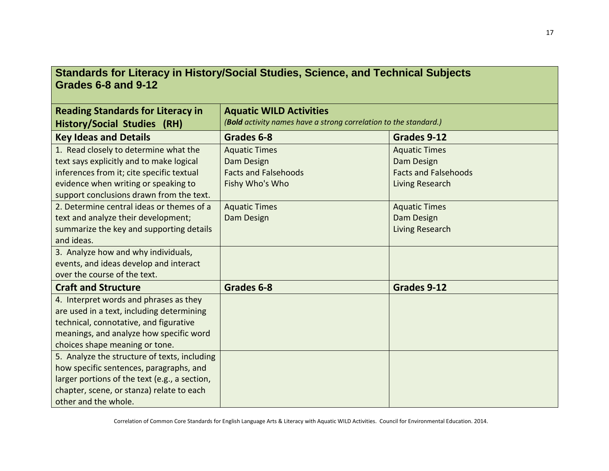## **Standards for Literacy in History/Social Studies, Science, and Technical Subjects Grades 6-8 and 9-12**

| <b>Reading Standards for Literacy in</b>      | <b>Aquatic WILD Activities</b>                                   |                             |  |
|-----------------------------------------------|------------------------------------------------------------------|-----------------------------|--|
| <b>History/Social Studies (RH)</b>            | (Bold activity names have a strong correlation to the standard.) |                             |  |
| <b>Key Ideas and Details</b>                  | Grades 6-8                                                       | Grades 9-12                 |  |
| 1. Read closely to determine what the         | <b>Aquatic Times</b>                                             | <b>Aquatic Times</b>        |  |
| text says explicitly and to make logical      | Dam Design                                                       | Dam Design                  |  |
| inferences from it; cite specific textual     | <b>Facts and Falsehoods</b>                                      | <b>Facts and Falsehoods</b> |  |
| evidence when writing or speaking to          | Fishy Who's Who                                                  | Living Research             |  |
| support conclusions drawn from the text.      |                                                                  |                             |  |
| 2. Determine central ideas or themes of a     | <b>Aquatic Times</b>                                             | <b>Aquatic Times</b>        |  |
| text and analyze their development;           | Dam Design                                                       | Dam Design                  |  |
| summarize the key and supporting details      |                                                                  | Living Research             |  |
| and ideas.                                    |                                                                  |                             |  |
| 3. Analyze how and why individuals,           |                                                                  |                             |  |
| events, and ideas develop and interact        |                                                                  |                             |  |
| over the course of the text.                  |                                                                  |                             |  |
| <b>Craft and Structure</b>                    | Grades 6-8                                                       | Grades 9-12                 |  |
| 4. Interpret words and phrases as they        |                                                                  |                             |  |
| are used in a text, including determining     |                                                                  |                             |  |
| technical, connotative, and figurative        |                                                                  |                             |  |
| meanings, and analyze how specific word       |                                                                  |                             |  |
| choices shape meaning or tone.                |                                                                  |                             |  |
| 5. Analyze the structure of texts, including  |                                                                  |                             |  |
| how specific sentences, paragraphs, and       |                                                                  |                             |  |
| larger portions of the text (e.g., a section, |                                                                  |                             |  |
| chapter, scene, or stanza) relate to each     |                                                                  |                             |  |
| other and the whole.                          |                                                                  |                             |  |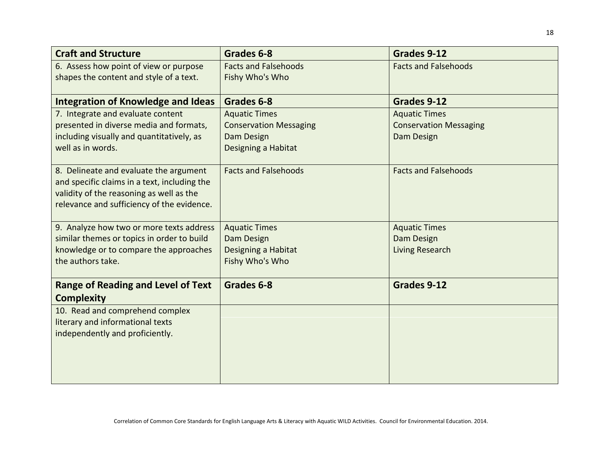| <b>Craft and Structure</b>                   | Grades 6-8                    | Grades 9-12                   |
|----------------------------------------------|-------------------------------|-------------------------------|
| 6. Assess how point of view or purpose       | <b>Facts and Falsehoods</b>   | <b>Facts and Falsehoods</b>   |
| shapes the content and style of a text.      | Fishy Who's Who               |                               |
| <b>Integration of Knowledge and Ideas</b>    | Grades 6-8                    | Grades 9-12                   |
| 7. Integrate and evaluate content            | <b>Aquatic Times</b>          | <b>Aquatic Times</b>          |
| presented in diverse media and formats,      | <b>Conservation Messaging</b> | <b>Conservation Messaging</b> |
| including visually and quantitatively, as    | Dam Design                    | Dam Design                    |
| well as in words.                            | Designing a Habitat           |                               |
|                                              |                               |                               |
| 8. Delineate and evaluate the argument       | <b>Facts and Falsehoods</b>   | <b>Facts and Falsehoods</b>   |
| and specific claims in a text, including the |                               |                               |
| validity of the reasoning as well as the     |                               |                               |
| relevance and sufficiency of the evidence.   |                               |                               |
| 9. Analyze how two or more texts address     | <b>Aquatic Times</b>          | <b>Aquatic Times</b>          |
| similar themes or topics in order to build   | Dam Design                    | Dam Design                    |
| knowledge or to compare the approaches       | Designing a Habitat           | <b>Living Research</b>        |
| the authors take.                            | Fishy Who's Who               |                               |
|                                              |                               |                               |
| <b>Range of Reading and Level of Text</b>    | Grades 6-8                    | Grades 9-12                   |
| <b>Complexity</b>                            |                               |                               |
| 10. Read and comprehend complex              |                               |                               |
| literary and informational texts             |                               |                               |
| independently and proficiently.              |                               |                               |
|                                              |                               |                               |
|                                              |                               |                               |
|                                              |                               |                               |
|                                              |                               |                               |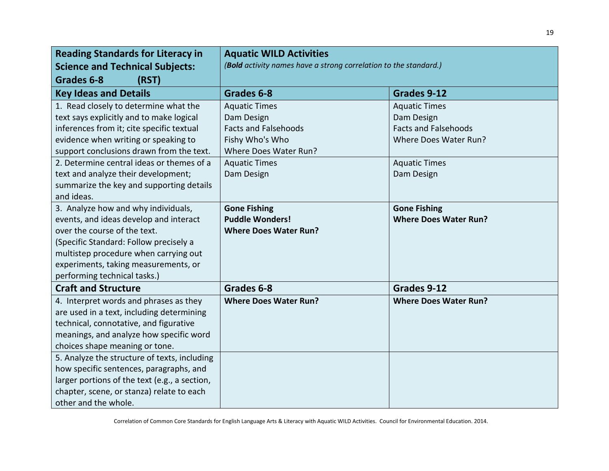| <b>Reading Standards for Literacy in</b>      | <b>Aquatic WILD Activities</b>                                   |                              |  |
|-----------------------------------------------|------------------------------------------------------------------|------------------------------|--|
| <b>Science and Technical Subjects:</b>        | (Bold activity names have a strong correlation to the standard.) |                              |  |
| Grades 6-8<br>(RST)                           |                                                                  |                              |  |
| <b>Key Ideas and Details</b>                  | Grades 6-8                                                       | Grades 9-12                  |  |
| 1. Read closely to determine what the         | <b>Aquatic Times</b>                                             | <b>Aquatic Times</b>         |  |
| text says explicitly and to make logical      | Dam Design                                                       | Dam Design                   |  |
| inferences from it; cite specific textual     | <b>Facts and Falsehoods</b>                                      | <b>Facts and Falsehoods</b>  |  |
| evidence when writing or speaking to          | Fishy Who's Who                                                  | Where Does Water Run?        |  |
| support conclusions drawn from the text.      | Where Does Water Run?                                            |                              |  |
| 2. Determine central ideas or themes of a     | <b>Aquatic Times</b>                                             | <b>Aquatic Times</b>         |  |
| text and analyze their development;           | Dam Design                                                       | Dam Design                   |  |
| summarize the key and supporting details      |                                                                  |                              |  |
| and ideas.                                    |                                                                  |                              |  |
| 3. Analyze how and why individuals,           | <b>Gone Fishing</b>                                              | <b>Gone Fishing</b>          |  |
| events, and ideas develop and interact        | <b>Puddle Wonders!</b>                                           | <b>Where Does Water Run?</b> |  |
| over the course of the text.                  | <b>Where Does Water Run?</b>                                     |                              |  |
| (Specific Standard: Follow precisely a        |                                                                  |                              |  |
| multistep procedure when carrying out         |                                                                  |                              |  |
| experiments, taking measurements, or          |                                                                  |                              |  |
| performing technical tasks.)                  |                                                                  |                              |  |
| <b>Craft and Structure</b>                    | Grades 6-8                                                       | Grades 9-12                  |  |
| 4. Interpret words and phrases as they        | <b>Where Does Water Run?</b>                                     | <b>Where Does Water Run?</b> |  |
| are used in a text, including determining     |                                                                  |                              |  |
| technical, connotative, and figurative        |                                                                  |                              |  |
| meanings, and analyze how specific word       |                                                                  |                              |  |
| choices shape meaning or tone.                |                                                                  |                              |  |
| 5. Analyze the structure of texts, including  |                                                                  |                              |  |
| how specific sentences, paragraphs, and       |                                                                  |                              |  |
| larger portions of the text (e.g., a section, |                                                                  |                              |  |
| chapter, scene, or stanza) relate to each     |                                                                  |                              |  |
| other and the whole.                          |                                                                  |                              |  |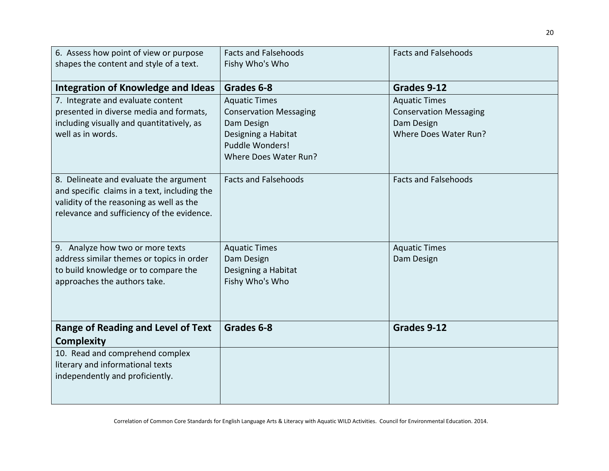| 6. Assess how point of view or purpose       | <b>Facts and Falsehoods</b>   | <b>Facts and Falsehoods</b>   |
|----------------------------------------------|-------------------------------|-------------------------------|
| shapes the content and style of a text.      | Fishy Who's Who               |                               |
|                                              |                               |                               |
| Integration of Knowledge and Ideas           | Grades 6-8                    | Grades 9-12                   |
| 7. Integrate and evaluate content            | <b>Aquatic Times</b>          | <b>Aquatic Times</b>          |
| presented in diverse media and formats,      | <b>Conservation Messaging</b> | <b>Conservation Messaging</b> |
| including visually and quantitatively, as    | Dam Design                    | Dam Design                    |
| well as in words.                            | Designing a Habitat           | Where Does Water Run?         |
|                                              | Puddle Wonders!               |                               |
|                                              | Where Does Water Run?         |                               |
| 8. Delineate and evaluate the argument       | <b>Facts and Falsehoods</b>   | <b>Facts and Falsehoods</b>   |
| and specific claims in a text, including the |                               |                               |
| validity of the reasoning as well as the     |                               |                               |
| relevance and sufficiency of the evidence.   |                               |                               |
|                                              |                               |                               |
|                                              |                               |                               |
| 9. Analyze how two or more texts             | <b>Aquatic Times</b>          | <b>Aquatic Times</b>          |
| address similar themes or topics in order    | Dam Design                    | Dam Design                    |
| to build knowledge or to compare the         | Designing a Habitat           |                               |
| approaches the authors take.                 | Fishy Who's Who               |                               |
|                                              |                               |                               |
|                                              |                               |                               |
| <b>Range of Reading and Level of Text</b>    | Grades 6-8                    | Grades 9-12                   |
| <b>Complexity</b>                            |                               |                               |
| 10. Read and comprehend complex              |                               |                               |
| literary and informational texts             |                               |                               |
| independently and proficiently.              |                               |                               |
|                                              |                               |                               |
|                                              |                               |                               |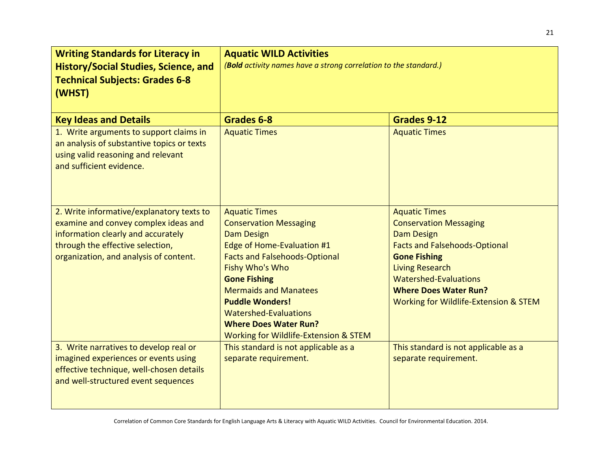| <b>Writing Standards for Literacy in</b><br>History/Social Studies, Science, and<br><b>Technical Subjects: Grades 6-8</b><br>(WHST)                     | <b>Aquatic WILD Activities</b><br>(Bold activity names have a strong correlation to the standard.) |                                       |  |
|---------------------------------------------------------------------------------------------------------------------------------------------------------|----------------------------------------------------------------------------------------------------|---------------------------------------|--|
| <b>Key Ideas and Details</b>                                                                                                                            | Grades 6-8                                                                                         | Grades 9-12                           |  |
| 1. Write arguments to support claims in<br>an analysis of substantive topics or texts<br>using valid reasoning and relevant<br>and sufficient evidence. | <b>Aquatic Times</b>                                                                               | <b>Aquatic Times</b>                  |  |
| 2. Write informative/explanatory texts to                                                                                                               | <b>Aquatic Times</b>                                                                               | <b>Aquatic Times</b>                  |  |
| examine and convey complex ideas and                                                                                                                    | <b>Conservation Messaging</b>                                                                      | <b>Conservation Messaging</b>         |  |
| information clearly and accurately                                                                                                                      | <b>Dam Design</b>                                                                                  | <b>Dam Design</b>                     |  |
| through the effective selection,                                                                                                                        | Edge of Home-Evaluation #1                                                                         | <b>Facts and Falsehoods-Optional</b>  |  |
| organization, and analysis of content.                                                                                                                  | <b>Facts and Falsehoods-Optional</b>                                                               | <b>Gone Fishing</b>                   |  |
|                                                                                                                                                         | Fishy Who's Who                                                                                    | <b>Living Research</b>                |  |
|                                                                                                                                                         | <b>Gone Fishing</b>                                                                                | <b>Watershed-Evaluations</b>          |  |
|                                                                                                                                                         | <b>Mermaids and Manatees</b>                                                                       | <b>Where Does Water Run?</b>          |  |
|                                                                                                                                                         | <b>Puddle Wonders!</b>                                                                             | Working for Wildlife-Extension & STEM |  |
|                                                                                                                                                         | <b>Watershed-Evaluations</b>                                                                       |                                       |  |
|                                                                                                                                                         | <b>Where Does Water Run?</b>                                                                       |                                       |  |
|                                                                                                                                                         | Working for Wildlife-Extension & STEM                                                              |                                       |  |
| 3. Write narratives to develop real or                                                                                                                  | This standard is not applicable as a                                                               | This standard is not applicable as a  |  |
| imagined experiences or events using                                                                                                                    | separate requirement.                                                                              | separate requirement.                 |  |
| effective technique, well-chosen details                                                                                                                |                                                                                                    |                                       |  |
| and well-structured event sequences                                                                                                                     |                                                                                                    |                                       |  |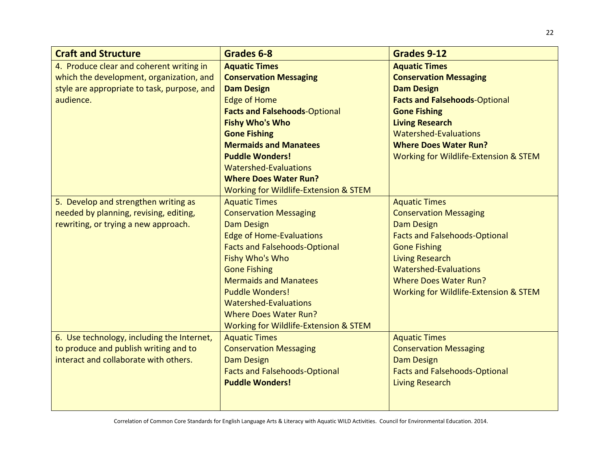| <b>Craft and Structure</b>                  | Grades 6-8                            | <b>Grades 9-12</b>                    |
|---------------------------------------------|---------------------------------------|---------------------------------------|
| 4. Produce clear and coherent writing in    | <b>Aquatic Times</b>                  | <b>Aquatic Times</b>                  |
| which the development, organization, and    | <b>Conservation Messaging</b>         | <b>Conservation Messaging</b>         |
| style are appropriate to task, purpose, and | <b>Dam Design</b>                     | <b>Dam Design</b>                     |
| audience.                                   | <b>Edge of Home</b>                   | <b>Facts and Falsehoods-Optional</b>  |
|                                             | <b>Facts and Falsehoods-Optional</b>  | <b>Gone Fishing</b>                   |
|                                             | <b>Fishy Who's Who</b>                | <b>Living Research</b>                |
|                                             | <b>Gone Fishing</b>                   | <b>Watershed-Evaluations</b>          |
|                                             | <b>Mermaids and Manatees</b>          | <b>Where Does Water Run?</b>          |
|                                             | <b>Puddle Wonders!</b>                | Working for Wildlife-Extension & STEM |
|                                             | <b>Watershed-Evaluations</b>          |                                       |
|                                             | <b>Where Does Water Run?</b>          |                                       |
|                                             | Working for Wildlife-Extension & STEM |                                       |
| 5. Develop and strengthen writing as        | <b>Aquatic Times</b>                  | <b>Aquatic Times</b>                  |
| needed by planning, revising, editing,      | <b>Conservation Messaging</b>         | <b>Conservation Messaging</b>         |
| rewriting, or trying a new approach.        | <b>Dam Design</b>                     | <b>Dam Design</b>                     |
|                                             | <b>Edge of Home-Evaluations</b>       | <b>Facts and Falsehoods-Optional</b>  |
|                                             | <b>Facts and Falsehoods-Optional</b>  | <b>Gone Fishing</b>                   |
|                                             | Fishy Who's Who                       | <b>Living Research</b>                |
|                                             | <b>Gone Fishing</b>                   | <b>Watershed-Evaluations</b>          |
|                                             | <b>Mermaids and Manatees</b>          | <b>Where Does Water Run?</b>          |
|                                             | <b>Puddle Wonders!</b>                | Working for Wildlife-Extension & STEM |
|                                             | <b>Watershed-Evaluations</b>          |                                       |
|                                             | <b>Where Does Water Run?</b>          |                                       |
|                                             | Working for Wildlife-Extension & STEM |                                       |
| 6. Use technology, including the Internet,  | <b>Aquatic Times</b>                  | <b>Aquatic Times</b>                  |
| to produce and publish writing and to       | <b>Conservation Messaging</b>         | <b>Conservation Messaging</b>         |
| interact and collaborate with others.       | <b>Dam Design</b>                     | <b>Dam Design</b>                     |
|                                             | <b>Facts and Falsehoods-Optional</b>  | <b>Facts and Falsehoods-Optional</b>  |
|                                             | <b>Puddle Wonders!</b>                | <b>Living Research</b>                |
|                                             |                                       |                                       |
|                                             |                                       |                                       |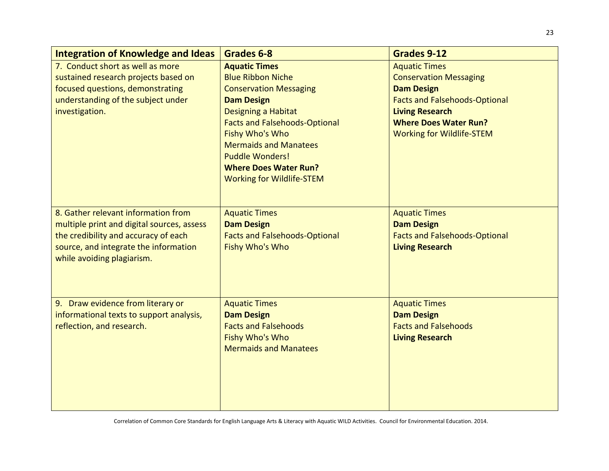| <b>Integration of Knowledge and Ideas</b>  | Grades 6-8                           | <b>Grades 9-12</b>                   |
|--------------------------------------------|--------------------------------------|--------------------------------------|
| 7. Conduct short as well as more           | <b>Aquatic Times</b>                 | <b>Aquatic Times</b>                 |
| sustained research projects based on       | <b>Blue Ribbon Niche</b>             | <b>Conservation Messaging</b>        |
| focused questions, demonstrating           | <b>Conservation Messaging</b>        | <b>Dam Design</b>                    |
| understanding of the subject under         | <b>Dam Design</b>                    | <b>Facts and Falsehoods-Optional</b> |
| investigation.                             | Designing a Habitat                  | <b>Living Research</b>               |
|                                            | <b>Facts and Falsehoods-Optional</b> | <b>Where Does Water Run?</b>         |
|                                            | Fishy Who's Who                      | <b>Working for Wildlife-STEM</b>     |
|                                            | <b>Mermaids and Manatees</b>         |                                      |
|                                            | <b>Puddle Wonders!</b>               |                                      |
|                                            | <b>Where Does Water Run?</b>         |                                      |
|                                            | <b>Working for Wildlife-STEM</b>     |                                      |
|                                            |                                      |                                      |
| 8. Gather relevant information from        | <b>Aquatic Times</b>                 | <b>Aquatic Times</b>                 |
| multiple print and digital sources, assess | <b>Dam Design</b>                    | <b>Dam Design</b>                    |
| the credibility and accuracy of each       | <b>Facts and Falsehoods-Optional</b> | <b>Facts and Falsehoods-Optional</b> |
| source, and integrate the information      | Fishy Who's Who                      | <b>Living Research</b>               |
| while avoiding plagiarism.                 |                                      |                                      |
|                                            |                                      |                                      |
|                                            |                                      |                                      |
|                                            |                                      |                                      |
| 9. Draw evidence from literary or          | <b>Aquatic Times</b>                 | <b>Aquatic Times</b>                 |
| informational texts to support analysis,   | <b>Dam Design</b>                    | <b>Dam Design</b>                    |
| reflection, and research.                  | <b>Facts and Falsehoods</b>          | <b>Facts and Falsehoods</b>          |
|                                            | Fishy Who's Who                      | <b>Living Research</b>               |
|                                            | <b>Mermaids and Manatees</b>         |                                      |
|                                            |                                      |                                      |
|                                            |                                      |                                      |
|                                            |                                      |                                      |
|                                            |                                      |                                      |